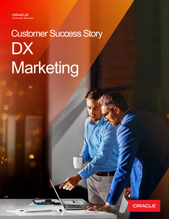8

# Customer Success Story **DX** Marketing

Ü

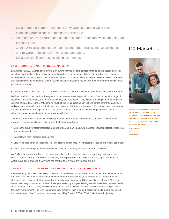- DXM needed a platform that could unify various sources while also expediting processing with machine learning / AI.
- Autonomous Data Warehouse acted as a smart repository while speeding up process times.
- Oracle Analytics simplified model building, data processing, visualization, and forward projections for two client campaigns.
- DXM saw significant results within six months.

# BACKGROUND: A LEADER IN DIGITAL MARKETING

Established in 2001, DX Marketing (DXM) is an award-winning insights company that helps businesses across all industries leverage big data to maximize marketing return on investment. Utilizing cutting-edge cross-platform technology and partnerships with marketing data leaders, DXM helps clients strategize, execute, assess, and adapt their digital marketing campaigns. Ultimately, this delivers measurable results with transparent methodologies into what works and why.

# BUSINESS CHALLENGE: OPTIMIZE MULTIPLE SOURCES WHILE STREAMLINING PROCESSES

DXM had worked in the cloud for three years, producing deep-level insights for clients. Despite the wide range of industries—including finance, healthcare, real estate, and automotive—they all had one thing in common: massive volumes of data. That led to DXM spending much of its time on creating correlations across different data sets. In addition, every six weeks saw a spike in resource usage, as DXM received regular US consumer data refreshes via a licensing agreement with Epsilon data. Thus, as the volume of data grew, establishing a sensible path to achieving usable insights became an increasing challenge.

To address the current situation while building a foundation for future upgrades and evolution, DXM needed to revamp its business intelligence solution with the following guidelines:

- Exist in the cloud for faster installation and easier scaling, particularly with national consumer dataset refreshes at regular six-week intervals
- Connect with many different data sources
- Utilize embedded machine learning (ML) and artificial intelligence (AI) for faster processing and insight generation
- Abide by HIPAA-compliant security protocols to ensure continuity for healthcare industry clients

As DXM examined its options, the company also looked beyond purely supporting hardware needs. With a team of analysts and data scientists, having easy-to-learn interfaces and report generation would save time and effort, allowing the staff to focus on more in-depth tasks.

# THE SOLUTION: AUTONOMOUS DATA WAREHOUSE + ORACLE ANALYTICS

After evaluating the possibilities, DXM chose the combination of Oracle Autonomous Data Warehouse and Oracle Analytics. This powerhouse combination provided an end-to-end solution, with Autonomous Data Warehouse offering a smart repository that connected with multiple data sources, and Oracle Analytics delivering AI-driven insights with easy visualization capable of being generated by analysts. Having already worked with various Oracle cloud products for three years, the DXM team expected that familiarity would expedite this new paradigm shift in their data management. However, things went even smoother than expected, particularly getting up to speed with the new AI capabilities. "It was very, very easy," says Ray Owens, CEO of DXM. "In fact, amazingly easy."

# **DX** Marketing



**"It's been an invaluable tool for us. We're already, just literally six months in, utilizing some of the key features that we probably wouldn't have picked up on with traditional database routines."**

*Ray Owens CEO DX Marketing*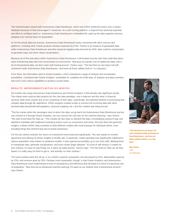This transformation started with Autonomous Data Warehouse, which was DXM's preferred choice over a classic database because of how it leveraged IT resources. As a self-running platform, it required less technical expertise and effort to configure and run. Autonomous Data Warehouse's embedded ML sped up the data ingestion process, skipping over manual steps for preparation.

As for the actual data pull process, Autonomous Data Warehouse easily connected with other sources and platforms, including other Oracle products already employed by DXM. Thanks to an instance of geospatial data within Autonomous Data Warehouse and other physical mapping data licensed by DXM, data could be manipulated to generate maps and other robust visualizations.

Because all of this took place within Autonomous Data Warehouse, it eliminated security risks that could take place when transferring data sets from environment to environment. "Because we handle a lot of healthcare data, and a lot of transactional data, we don't want stuff moving around," Owens says. "The fact that we can keep it all selfcontained inside Autonomous Data Warehouse—and have all these utilities built-in—is a big plus."

From there, the information went to Oracle Analytics, which unleashed a range of analysis and visualization possibilities. Combined with Oracle Analytics' embedded AI, suddenly the DXM team of analysts and data scientists had much more robust capabilities to produce results faster.

#### RESULTS: IMPROVEMENTS WITHIN SIX MONTHS

Six months into using Autonomous Data Warehouse and Oracle Analytics, DXM already saw significant results. Two clients were used as pilot projects for this new data paradigm, one in telecom and the other in financial services. Both were chosen due to the complexity of their data—specifically, the potential benefits of processing that complex data through ML algorithms. DXM's analysts created scripts to connect the incoming data with other licensed data (household demographics, physical mapping, etc.) and the creative ads being served.

"The fun comes when the campaigns start to return the data, we go back into Autonomous Data Warehouse and we can connect to it through Oracle Analytics, we can connect the call-outs for the machine learning," says Owens. "We start to just blow the data up." This creates all new ways to interpret the data, consolidating exposure logs and date/time metadata with traditional marketing metrics such as conversions and clicks. Not only does this generate insights, it allows DXM's data scientists to build different models with control groups for individual clients, even including things like inherent bias due to brand awareness.

For the two clients involved, the return-on-investment trend improved significantly. This was based on smarter placement and utilizing AI-driven insights to throttle ads. In particular, media spending was significantly redefined to reduce acquisition costs thanks to predictive models. It also opened accessibility up to non-tech staff, allowing them to manipulate data, generate visualizations, and even create larger datasets. "It's kind of self-driving, it creates its own indexes, it's easy to map things out, it spins up really quickly," Owens says. "The fact that our folks are all SQLbased, it's really easy for them to get in, and actually run their routines."

The hard numbers back this all up: in six months customer acquisition cost decreased by 52%, deliverables sped up by 70%, and revenue grew by 25%. Perhaps more importantly, though, is that Oracle Analytics and Autonomous Data Warehouse have implemented a level of transparency and efficiency that all leads to a trend of improving costof-acquisition. "Now that we've introduced machine learning, it's sped up our analytic time a tremendous amount," says Owens.



**"The fact that we can keep it all self-contained inside Autonomous Data Warehouse—and have all these utilities built-in—is a big plus."**

*Ray Owens CEO DX Marketing*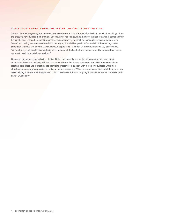#### CONCLUSION: BIGGER, STRONGER, FASTER…AND THAT'S JUST THE START

Six months after integrating Autonomous Data Warehouse and Oracle Analytics, DXM is certain of two things. First, the products have fulfilled their promise. Second, DXM has just touched the tip of the iceberg when it comes to their full capabilities. From a functional perspective, the sheer ability for machine learning to process a dataset with 70,000 purchasing variables combined with demographic variables, product IDs, and all of the ensuing crosscorrelation is above and beyond DSM's previous capabilities. "It's been an invaluable tool for us," says Owens. "We're already, just literally six months in, utilizing some of the key features that we probably wouldn't have picked up on with traditional database routines."

Of course, the future is loaded with potential. DXM plans to make use of this with a number of plans: semiautomation, better connectivity with the company's internal API library, and more. The DXM team sees this as creating both direct and indirect results, providing greater client support with more powerful tools, while also elevating the company's reputation as a digital marketing agency. "When our clients see this kind of thing, and how we're helping to bolster their brands, we couldn't have done that without going down this path of ML several months back," Owens says.